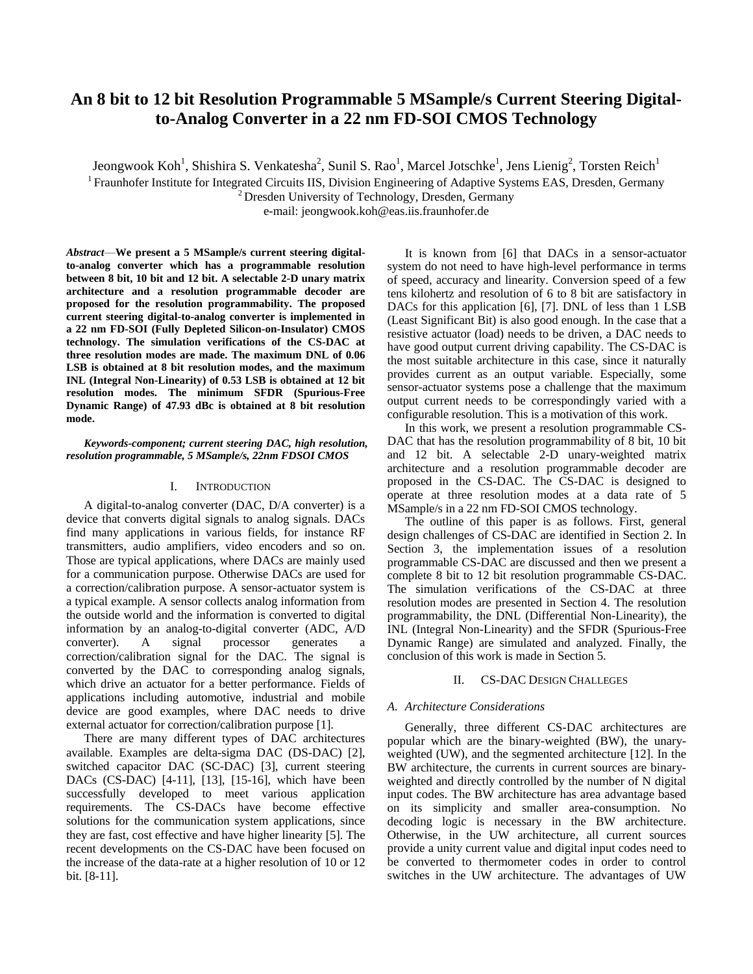# **An 8 bit to 12 bit Resolution Programmable 5 MSample/s Current Steering Digitalto-Analog Converter in a 22 nm FD-SOI CMOS Technology**

Jeongwook Koh<sup>1</sup>, Shishira S. Venkatesha<sup>2</sup>, Sunil S. Rao<sup>1</sup>, Marcel Jotschke<sup>1</sup>, Jens Lienig<sup>2</sup>, Torsten Reich<sup>1</sup>

<sup>1</sup> Fraunhofer Institute for Integrated Circuits IIS, Division Engineering of Adaptive Systems EAS, Dresden, Germany

 $2$  Dresden University of Technology, Dresden, Germany

e-mail: jeongwook.koh@eas.iis.fraunhofer.de

*Abstract*—**We present a 5 MSample/s current steering digitalto-analog converter which has a programmable resolution between 8 bit, 10 bit and 12 bit. A selectable 2-D unary matrix architecture and a resolution programmable decoder are proposed for the resolution programmability. The proposed current steering digital-to-analog converter is implemented in a 22 nm FD-SOI (Fully Depleted Silicon-on-Insulator) CMOS technology. The simulation verifications of the CS-DAC at three resolution modes are made. The maximum DNL of 0.06 LSB is obtained at 8 bit resolution modes, and the maximum INL (Integral Non-Linearity) of 0.53 LSB is obtained at 12 bit resolution modes. The minimum SFDR (Spurious-Free Dynamic Range) of 47.93 dBc is obtained at 8 bit resolution mode.**

*Keywords-component; current steering DAC, high resolution, resolution programmable, 5 MSample/s, 22nm FDSOI CMOS*

#### I. INTRODUCTION

A digital-to-analog converter (DAC, D/A converter) is a device that converts digital signals to analog signals. DACs find many applications in various fields, for instance RF transmitters, audio amplifiers, video encoders and so on. Those are typical applications, where DACs are mainly used for a communication purpose. Otherwise DACs are used for a correction/calibration purpose. A sensor-actuator system is a typical example. A sensor collects analog information from the outside world and the information is converted to digital information by an analog-to-digital converter (ADC, A/D converter). A signal processor generates a correction/calibration signal for the DAC. The signal is converted by the DAC to corresponding analog signals, which drive an actuator for a better performance. Fields of applications including automotive, industrial and mobile device are good examples, where DAC needs to drive external actuator for correction/calibration purpose [1].

There are many different types of DAC architectures available. Examples are delta-sigma DAC (DS-DAC) [2], switched capacitor DAC (SC-DAC) [3], current steering DACs (CS-DAC) [4-11], [13], [15-16], which have been successfully developed to meet various application requirements. The CS-DACs have become effective solutions for the communication system applications, since they are fast, cost effective and have higher linearity [5]. The recent developments on the CS-DAC have been focused on the increase of the data-rate at a higher resolution of 10 or 12 bit. [8-11].

It is known from [6] that DACs in a sensor-actuator system do not need to have high-level performance in terms of speed, accuracy and linearity. Conversion speed of a few tens kilohertz and resolution of 6 to 8 bit are satisfactory in DACs for this application [6], [7]. DNL of less than 1 LSB (Least Significant Bit) is also good enough. In the case that a resistive actuator (load) needs to be driven, a DAC needs to have good output current driving capability. The CS-DAC is the most suitable architecture in this case, since it naturally provides current as an output variable. Especially, some sensor-actuator systems pose a challenge that the maximum output current needs to be correspondingly varied with a configurable resolution. This is a motivation of this work.

In this work, we present a resolution programmable CS-DAC that has the resolution programmability of 8 bit, 10 bit and 12 bit. A selectable 2-D unary-weighted matrix architecture and a resolution programmable decoder are proposed in the CS-DAC. The CS-DAC is designed to operate at three resolution modes at a data rate of 5 MSample/s in a 22 nm FD-SOI CMOS technology.

The outline of this paper is as follows. First, general design challenges of CS-DAC are identified in Section 2. In Section 3, the implementation issues of a resolution programmable CS-DAC are discussed and then we present a complete 8 bit to 12 bit resolution programmable CS-DAC. The simulation verifications of the CS-DAC at three resolution modes are presented in Section 4. The resolution programmability, the DNL (Differential Non-Linearity), the INL (Integral Non-Linearity) and the SFDR (Spurious-Free Dynamic Range) are simulated and analyzed. Finally, the conclusion of this work is made in Section 5.

#### II. CS-DAC DESIGN CHALLEGES

#### *A. Architecture Considerations*

Generally, three different CS-DAC architectures are popular which are the binary-weighted (BW), the unaryweighted (UW), and the segmented architecture [12]. In the BW architecture, the currents in current sources are binaryweighted and directly controlled by the number of N digital input codes. The BW architecture has area advantage based on its simplicity and smaller area-consumption. No decoding logic is necessary in the BW architecture. Otherwise, in the UW architecture, all current sources provide a unity current value and digital input codes need to be converted to thermometer codes in order to control switches in the UW architecture. The advantages of UW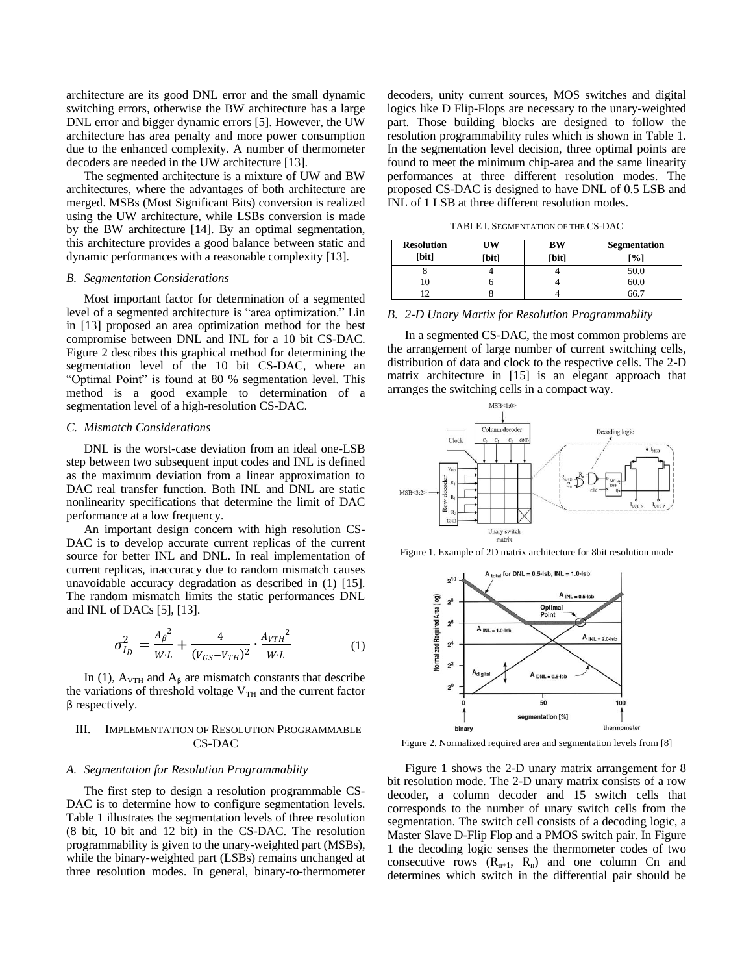architecture are its good DNL error and the small dynamic switching errors, otherwise the BW architecture has a large DNL error and bigger dynamic errors [5]. However, the UW architecture has area penalty and more power consumption due to the enhanced complexity. A number of thermometer decoders are needed in the UW architecture [13].

The segmented architecture is a mixture of UW and BW architectures, where the advantages of both architecture are merged. MSBs (Most Significant Bits) conversion is realized using the UW architecture, while LSBs conversion is made by the BW architecture [14]. By an optimal segmentation, this architecture provides a good balance between static and dynamic performances with a reasonable complexity [13].

#### *B. Segmentation Considerations*

Most important factor for determination of a segmented level of a segmented architecture is "area optimization." Lin in [13] proposed an area optimization method for the best compromise between DNL and INL for a 10 bit CS-DAC. Figure 2 describes this graphical method for determining the segmentation level of the 10 bit CS-DAC, where an "Optimal Point" is found at 80 % segmentation level. This method is a good example to determination of a segmentation level of a high-resolution CS-DAC.

#### *C. Mismatch Considerations*

DNL is the worst-case deviation from an ideal one-LSB step between two subsequent input codes and INL is defined as the maximum deviation from a linear approximation to DAC real transfer function. Both INL and DNL are static nonlinearity specifications that determine the limit of DAC performance at a low frequency.

An important design concern with high resolution CS-DAC is to develop accurate current replicas of the current source for better INL and DNL. In real implementation of current replicas, inaccuracy due to random mismatch causes unavoidable accuracy degradation as described in (1) [15]. The random mismatch limits the static performances DNL and INL of DACs [5], [13].

$$
\sigma_{I_D}^2 = \frac{{A_B}^2}{W L} + \frac{4}{(V_{GS} - V_{TH})^2} \cdot \frac{{A_{VTH}}^2}{W L}
$$
 (1)

In (1),  $A_{VTH}$  and  $A_\beta$  are mismatch constants that describe the variations of threshold voltage  $V<sub>TH</sub>$  and the current factor β respectively.

# III. IMPLEMENTATION OF RESOLUTION PROGRAMMABLE CS-DAC

# *A. Segmentation for Resolution Programmablity*

The first step to design a resolution programmable CS-DAC is to determine how to configure segmentation levels. Table 1 illustrates the segmentation levels of three resolution (8 bit, 10 bit and 12 bit) in the CS-DAC. The resolution programmability is given to the unary-weighted part (MSBs), while the binary-weighted part (LSBs) remains unchanged at three resolution modes. In general, binary-to-thermometer decoders, unity current sources, MOS switches and digital logics like D Flip-Flops are necessary to the unary-weighted part. Those building blocks are designed to follow the resolution programmability rules which is shown in Table 1. In the segmentation level decision, three optimal points are found to meet the minimum chip-area and the same linearity performances at three different resolution modes. The proposed CS-DAC is designed to have DNL of 0.5 LSB and INL of 1 LSB at three different resolution modes.

TABLE I. SEGMENTATION OF THE CS-DAC

| <b>Resolution</b> |       | <b>BW</b> | <b>Segmentation</b> |  |  |
|-------------------|-------|-----------|---------------------|--|--|
| [bit]             | [bit] | [bit]     | [%]                 |  |  |
|                   |       |           | 50.0                |  |  |
| ιv                |       |           |                     |  |  |
|                   |       |           |                     |  |  |

#### *B. 2-D Unary Martix for Resolution Programmablity*

In a segmented CS-DAC, the most common problems are the arrangement of large number of current switching cells, distribution of data and clock to the respective cells. The 2-D matrix architecture in [15] is an elegant approach that arranges the switching cells in a compact way.



Figure 1. Example of 2D matrix architecture for 8bit resolution mode



Figure 2. Normalized required area and segmentation levels from [8]

Figure 1 shows the 2-D unary matrix arrangement for 8 bit resolution mode. The 2-D unary matrix consists of a row decoder, a column decoder and 15 switch cells that corresponds to the number of unary switch cells from the segmentation. The switch cell consists of a decoding logic, a Master Slave D-Flip Flop and a PMOS switch pair. In Figure 1 the decoding logic senses the thermometer codes of two consecutive rows  $(R_{n+1}, R_n)$  and one column Cn and determines which switch in the differential pair should be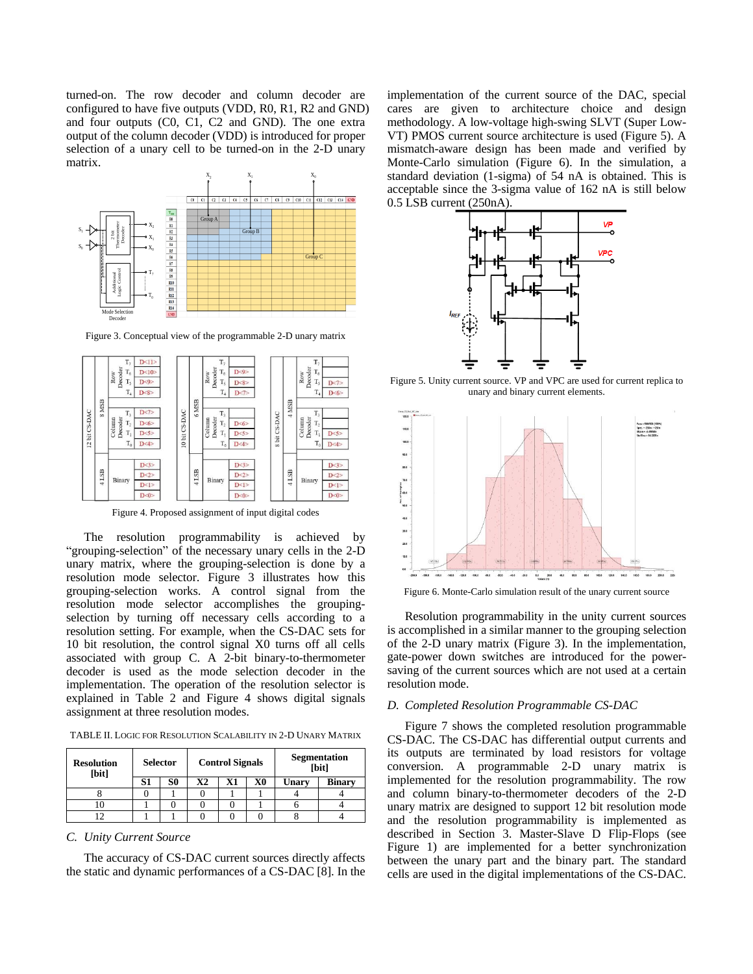turned-on. The row decoder and column decoder are configured to have five outputs (VDD, R0, R1, R2 and GND) and four outputs (C0, C1, C2 and GND). The one extra output of the column decoder (VDD) is introduced for proper selection of a unary cell to be turned-on in the 2-D unary matrix.



Figure 3. Conceptual view of the programmable 2-D unary matrix



Figure 4. Proposed assignment of input digital codes

The resolution programmability is achieved by "grouping-selection" of the necessary unary cells in the 2-D unary matrix, where the grouping-selection is done by a resolution mode selector. Figure 3 illustrates how this grouping-selection works. A control signal from the resolution mode selector accomplishes the groupingselection by turning off necessary cells according to a resolution setting. For example, when the CS-DAC sets for 10 bit resolution, the control signal X0 turns off all cells associated with group C. A 2-bit binary-to-thermometer decoder is used as the mode selection decoder in the implementation. The operation of the resolution selector is explained in Table 2 and Figure 4 shows digital signals assignment at three resolution modes.

TABLE II. LOGIC FOR RESOLUTION SCALABILITY IN 2-D UNARY MATRIX

| <b>Resolution</b><br>[bit] | <b>Selector</b> |    | <b>Control Signals</b> |    |    | <b>Segmentation</b><br>[bit] |               |
|----------------------------|-----------------|----|------------------------|----|----|------------------------------|---------------|
|                            | S1              | S0 | Х2                     | X1 | X0 | Unary                        | <b>Binary</b> |
|                            |                 |    |                        |    |    |                              |               |
|                            |                 |    |                        |    |    |                              |               |
|                            |                 |    |                        |    |    |                              |               |

*C. Unity Current Source*

The accuracy of CS-DAC current sources directly affects the static and dynamic performances of a CS-DAC [8]. In the implementation of the current source of the DAC, special cares are given to architecture choice and design methodology. A low-voltage high-swing SLVT (Super Low-VT) PMOS current source architecture is used (Figure 5). A mismatch-aware design has been made and verified by Monte-Carlo simulation (Figure 6). In the simulation, a standard deviation (1-sigma) of 54 nA is obtained. This is acceptable since the 3-sigma value of 162 nA is still below 0.5 LSB current (250nA).



Figure 5. Unity current source. VP and VPC are used for current replica to unary and binary current elements.



Figure 6. Monte-Carlo simulation result of the unary current source

Resolution programmability in the unity current sources is accomplished in a similar manner to the grouping selection of the 2-D unary matrix (Figure 3). In the implementation, gate-power down switches are introduced for the powersaving of the current sources which are not used at a certain resolution mode.

#### *D. Completed Resolution Programmable CS-DAC*

Figure 7 shows the completed resolution programmable CS-DAC. The CS-DAC has differential output currents and its outputs are terminated by load resistors for voltage conversion. A programmable 2-D unary matrix is implemented for the resolution programmability. The row and column binary-to-thermometer decoders of the 2-D unary matrix are designed to support 12 bit resolution mode and the resolution programmability is implemented as described in Section 3. Master-Slave D Flip-Flops (see Figure 1) are implemented for a better synchronization between the unary part and the binary part. The standard cells are used in the digital implementations of the CS-DAC.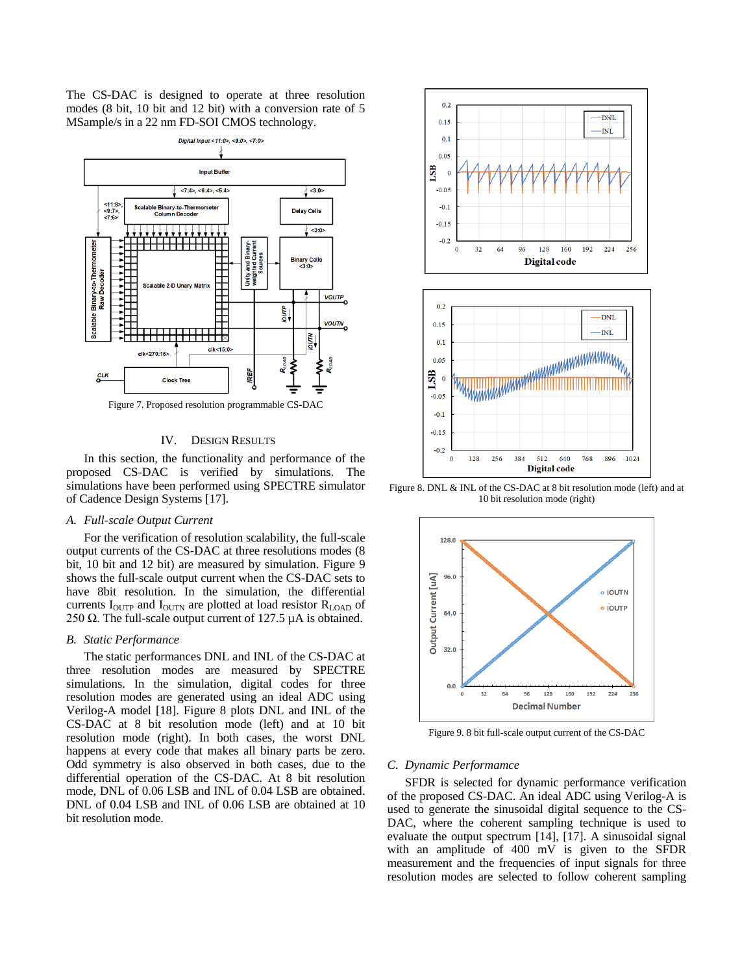The CS-DAC is designed to operate at three resolution modes (8 bit, 10 bit and 12 bit) with a conversion rate of 5 MSample/s in a 22 nm FD-SOI CMOS technology.



# IV. DESIGN RESULTS

In this section, the functionality and performance of the proposed CS-DAC is verified by simulations. The simulations have been performed using SPECTRE simulator of Cadence Design Systems [17].

### *A. Full-scale Output Current*

For the verification of resolution scalability, the full-scale output currents of the CS-DAC at three resolutions modes (8 bit, 10 bit and 12 bit) are measured by simulation. Figure 9 shows the full-scale output current when the CS-DAC sets to have 8bit resolution. In the simulation, the differential currents  $I<sub>OUTP</sub>$  and  $I<sub>OUTN</sub>$  are plotted at load resistor  $R<sub>LOAD</sub>$  of 250  $\Omega$ . The full-scale output current of 127.5 µA is obtained.

#### *B. Static Performance*

The static performances DNL and INL of the CS-DAC at three resolution modes are measured by SPECTRE simulations. In the simulation, digital codes for three resolution modes are generated using an ideal ADC using Verilog-A model [18]. Figure 8 plots DNL and INL of the CS-DAC at 8 bit resolution mode (left) and at 10 bit resolution mode (right). In both cases, the worst DNL happens at every code that makes all binary parts be zero. Odd symmetry is also observed in both cases, due to the differential operation of the CS-DAC. At 8 bit resolution mode, DNL of 0.06 LSB and INL of 0.04 LSB are obtained. DNL of 0.04 LSB and INL of 0.06 LSB are obtained at 10 bit resolution mode.



Figure 8. DNL & INL of the CS-DAC at 8 bit resolution mode (left) and at 10 bit resolution mode (right)



Figure 9. 8 bit full-scale output current of the CS-DAC

#### *C. Dynamic Performamce*

SFDR is selected for dynamic performance verification of the proposed CS-DAC. An ideal ADC using Verilog-A is used to generate the sinusoidal digital sequence to the CS-DAC, where the coherent sampling technique is used to evaluate the output spectrum [14], [17]. A sinusoidal signal with an amplitude of 400 mV is given to the SFDR measurement and the frequencies of input signals for three resolution modes are selected to follow coherent sampling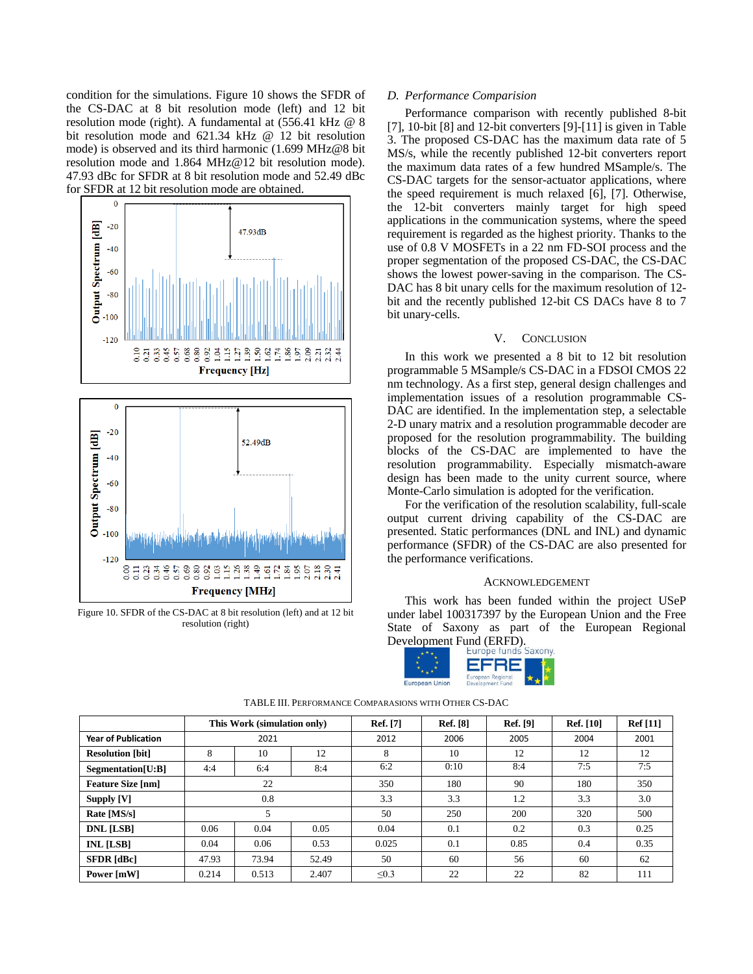condition for the simulations. Figure 10 shows the SFDR of the CS-DAC at 8 bit resolution mode (left) and 12 bit resolution mode (right). A fundamental at (556.41 kHz @ 8 bit resolution mode and 621.34 kHz @ 12 bit resolution mode) is observed and its third harmonic (1.699 MHz@8 bit resolution mode and 1.864 MHz@12 bit resolution mode). 47.93 dBc for SFDR at 8 bit resolution mode and 52.49 dBc for SFDR at 12 bit resolution mode are obtained.



Figure 10. SFDR of the CS-DAC at 8 bit resolution (left) and at 12 bit resolution (right)

# *D. Performance Comparision*

Performance comparison with recently published 8-bit [7], 10-bit [8] and 12-bit converters [9]-[11] is given in Table 3. The proposed CS-DAC has the maximum data rate of 5 MS/s, while the recently published 12-bit converters report the maximum data rates of a few hundred MSample/s. The CS-DAC targets for the sensor-actuator applications, where the speed requirement is much relaxed [6], [7]. Otherwise, the 12-bit converters mainly target for high speed applications in the communication systems, where the speed requirement is regarded as the highest priority. Thanks to the use of 0.8 V MOSFETs in a 22 nm FD-SOI process and the proper segmentation of the proposed CS-DAC, the CS-DAC shows the lowest power-saving in the comparison. The CS-DAC has 8 bit unary cells for the maximum resolution of 12 bit and the recently published 12-bit CS DACs have 8 to 7 bit unary-cells.

### V. CONCLUSION

In this work we presented a 8 bit to 12 bit resolution programmable 5 MSample/s CS-DAC in a FDSOI CMOS 22 nm technology. As a first step, general design challenges and implementation issues of a resolution programmable CS-DAC are identified. In the implementation step, a selectable 2-D unary matrix and a resolution programmable decoder are proposed for the resolution programmability. The building blocks of the CS-DAC are implemented to have the resolution programmability. Especially mismatch-aware design has been made to the unity current source, where Monte-Carlo simulation is adopted for the verification.

For the verification of the resolution scalability, full-scale output current driving capability of the CS-DAC are presented. Static performances (DNL and INL) and dynamic performance (SFDR) of the CS-DAC are also presented for the performance verifications.

#### ACKNOWLEDGEMENT

This work has been funded within the project USeP under label 100317397 by the European Union and the Free State of Saxony as part of the European Regional Development Fund (ERFD).<br>Europe funds Saxony



|                            |       | This Work (simulation only) |       | <b>Ref.</b> [7] | <b>Ref.</b> [8] | <b>Ref.</b> [9] | <b>Ref.</b> [10] | <b>Ref</b> [11] |
|----------------------------|-------|-----------------------------|-------|-----------------|-----------------|-----------------|------------------|-----------------|
| <b>Year of Publication</b> | 2021  |                             |       | 2012            | 2006            | 2005            | 2004             | 2001            |
| <b>Resolution [bit]</b>    | 8     | 10                          | 12    | 8               | 10              | 12              | 12               | 12              |
| Segmentation[U:B]          | 4:4   | 6:4                         | 8:4   | 6:2             | 0:10            | 8:4             | 7:5              | 7:5             |
| <b>Feature Size [nm]</b>   |       | 22                          |       | 350             | 180             | 90              | 180              | 350             |
| Supply [V]                 |       | 0.8                         |       | 3.3             | 3.3             | 1.2             | 3.3              | 3.0             |
| Rate [MS/s]                | 5     |                             |       | 50              | 250             | 200             | 320              | 500             |
| <b>DNL [LSB]</b>           | 0.06  | 0.04                        | 0.05  | 0.04            | 0.1             | 0.2             | 0.3              | 0.25            |
| <b>INL</b> [LSB]           | 0.04  | 0.06                        | 0.53  | 0.025           | 0.1             | 0.85            | 0.4              | 0.35            |
| <b>SFDR</b> [dBc]          | 47.93 | 73.94                       | 52.49 | 50              | 60              | 56              | 60               | 62              |
| Power [mW]                 | 0.214 | 0.513                       | 2.407 | $\leq 0.3$      | 22              | 22              | 82               | 111             |

TABLE III. PERFORMANCE COMPARASIONS WITH OTHER CS-DAC